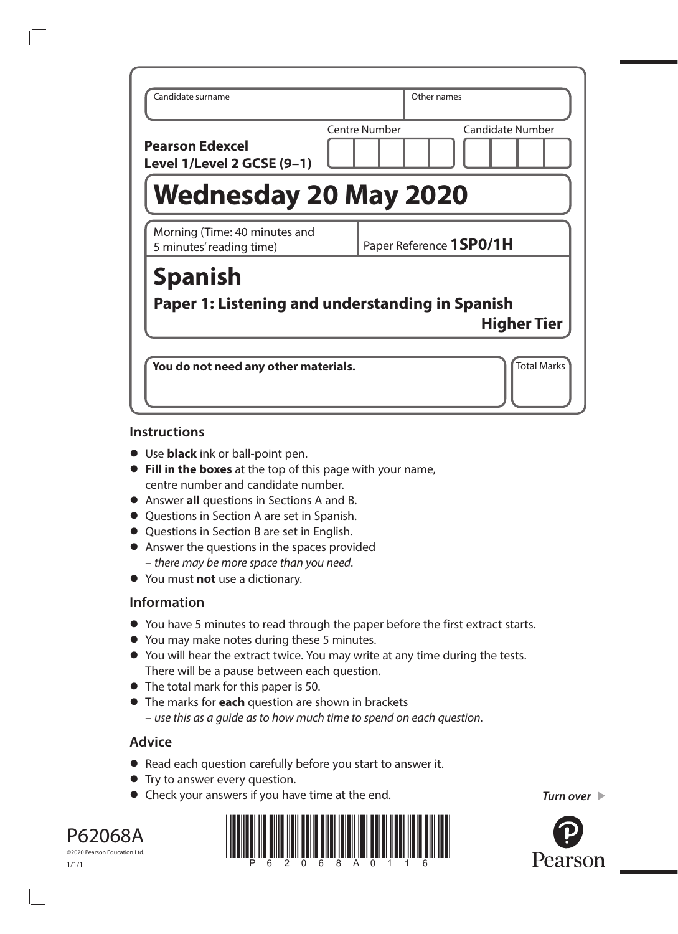| Candidate surname                                         |                      | Other names             |                         |
|-----------------------------------------------------------|----------------------|-------------------------|-------------------------|
| <b>Pearson Edexcel</b><br>Level 1/Level 2 GCSE (9-1)      | <b>Centre Number</b> |                         | <b>Candidate Number</b> |
| <b>Wednesday 20 May 2020</b>                              |                      |                         |                         |
| Morning (Time: 40 minutes and<br>5 minutes' reading time) |                      | Paper Reference 1SP0/1H |                         |
| <b>Spanish</b>                                            |                      |                         |                         |
| Paper 1: Listening and understanding in Spanish           |                      |                         | <b>Higher Tier</b>      |
| You do not need any other materials.                      |                      |                         | <b>Total Marks</b>      |

#### **Instructions**

- **•** Use **black** ink or ball-point pen.
- **• Fill in the boxes** at the top of this page with your name, centre number and candidate number.
- **•** Answer **all** questions in Sections A and B.
- **•** Questions in Section A are set in Spanish.
- **•** Questions in Section B are set in English.
- **•** Answer the questions in the spaces provided – *there may be more space than you need*.
- **•** You must **not** use a dictionary.

## **Information**

- **•** You have 5 minutes to read through the paper before the first extract starts.
- **•** You may make notes during these 5 minutes.
- **•** You will hear the extract twice. You may write at any time during the tests. There will be a pause between each question.
- **•** The total mark for this paper is 50.
- **•** The marks for **each** question are shown in brackets – *use this as a guide as to how much time to spend on each question*.

## **Advice**

- **•** Read each question carefully before you start to answer it.
- **•** Try to answer every question.
- **•** Check your answers if you have time at the end.

*Turn over* 





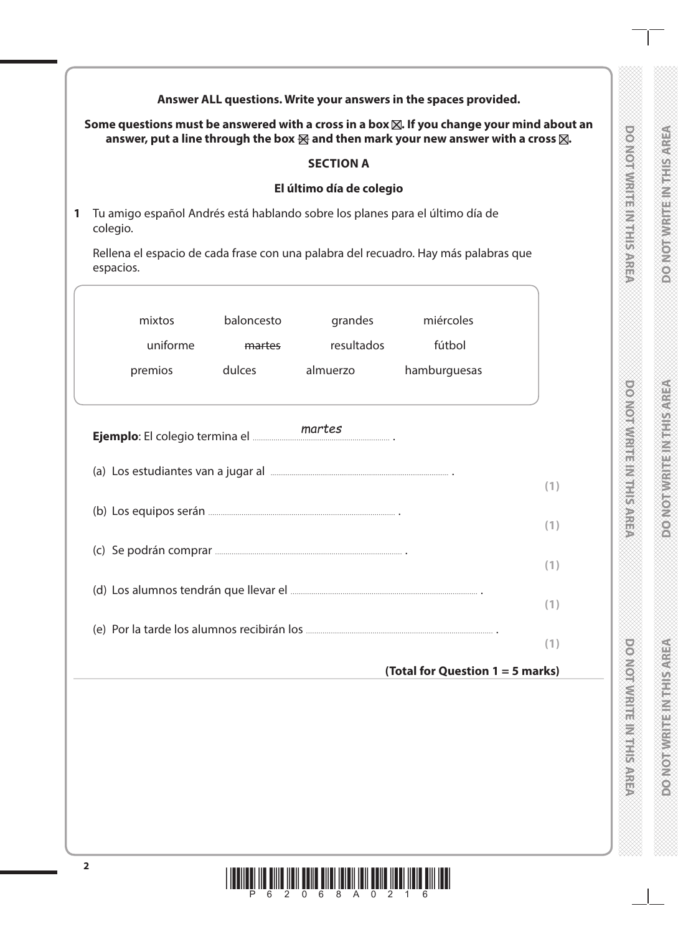#### **Answer ALL questions. Write your answers in the spaces provided.**

Some questions must be answered with a cross in a box  $\boxtimes$ . If you change your mind about an answer, put a line through the box  $\boxtimes$  and then mark your new answer with a cross  $\boxtimes$ .

#### **SECTION A**

#### **El último día de colegio**

**1** Tu amigo español Andrés está hablando sobre los planes para el último día de colegio.

Rellena el espacio de cada frase con una palabra del recuadro. Hay más palabras que espacios.

| mixtos   | baloncesto | grandes    | miércoles                        |     |
|----------|------------|------------|----------------------------------|-----|
| uniforme | martes     | resultados | fútbol                           |     |
| premios  | dulces     | almuerzo   | hamburguesas                     |     |
|          |            |            |                                  |     |
|          |            |            |                                  | (1) |
|          |            |            |                                  | (1) |
|          |            |            |                                  | (1) |
|          |            |            |                                  | (1) |
|          |            |            |                                  | (1) |
|          |            |            | (Total for Question 1 = 5 marks) |     |

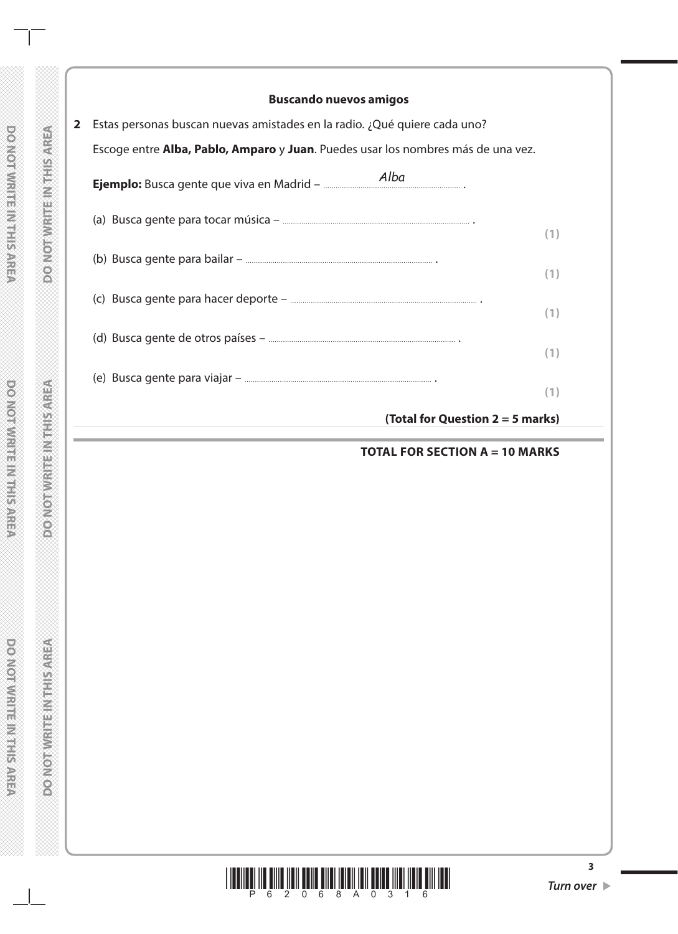#### **Buscando nuevos amigos**

# **2** Estas personas buscan nuevas amistades en la radio. ¿Qué quiere cada uno? Escoge entre **Alba, Pablo, Amparo** y **Juan**. Puedes usar los nombres más de una vez. **Ejemplo:** Busca gente que viva en Madrid – ………………………………………………………… . (a) Busca gente para tocar música – ……………………………………………………………………………… . **(1)** (b) Busca gente para bailar – ……………………………………………………………………………… . **(1)** (c) Busca gente para hacer deporte – ……………………………………………………………………………… . **(1)** (d) Busca gente de otros países – ……………………………………………………………………………… . **(1)** (e) Busca gente para viajar – ……………………………………………………………………………… . **(1) (Total for Question 2 = 5 marks)** *Alba*

## **TOTAL FOR SECTION A = 10 MARKS**



**3**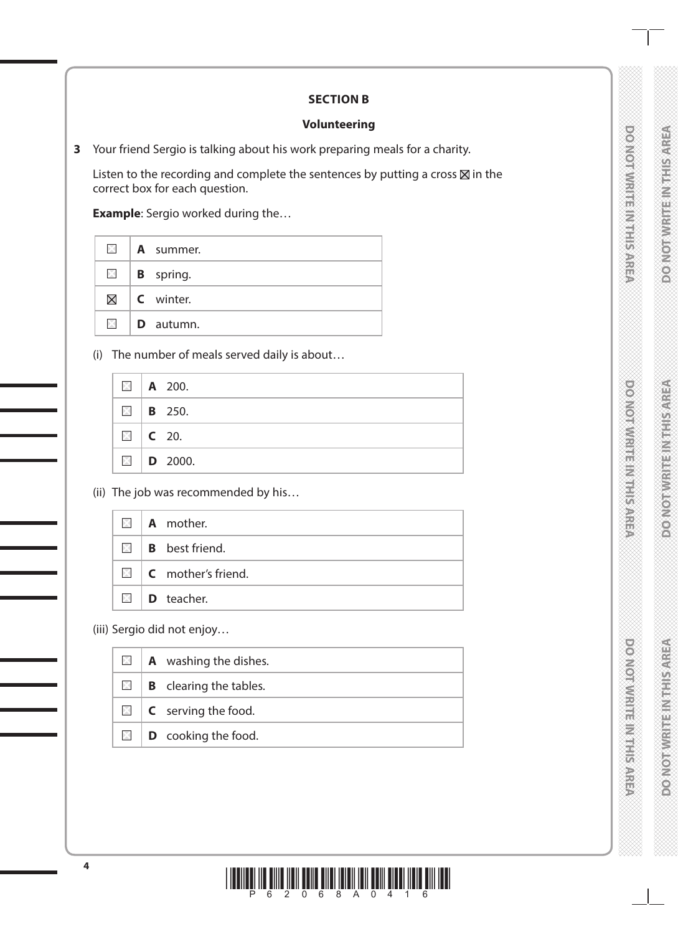**DO NOT WRITE IN THIS AREA** 

DO NOTWRITEIN THE AREA

## **SECTION B**

#### **Volunteering**

**3** Your friend Sergio is talking about his work preparing meals for a charity.

Listen to the recording and complete the sentences by putting a cross  $\boxtimes$  in the correct box for each question.

**Example**: Sergio worked during the…

| $\times$    | <b>A</b> summer. |
|-------------|------------------|
| $\times$    | <b>B</b> spring. |
| $\boxtimes$ | <b>C</b> winter. |
| X           | <b>D</b> autumn. |

(i) The number of meals served daily is about…

|                | $\blacksquare$   A 200. |
|----------------|-------------------------|
|                | $\boxtimes$   B 250.    |
| $\Box$   C 20. |                         |
|                | $\Box$ D 2000.          |
|                |                         |

(ii) The job was recommended by his…

|  | $\boxtimes$   A mother.                 |
|--|-----------------------------------------|
|  | $\boxtimes$   <b>B</b> best friend.     |
|  | $\boxtimes$   <b>C</b> mother's friend. |
|  | $\Box$ <b>D</b> teacher.                |

## (iii) Sergio did not enjoy…

|  | $\Box$   <b>A</b> washing the dishes.        |
|--|----------------------------------------------|
|  | $\mathbb{Z}$   <b>B</b> clearing the tables. |
|  | $\Box$ <b>C</b> serving the food.            |
|  | $\Box$ <b>D</b> cooking the food.            |



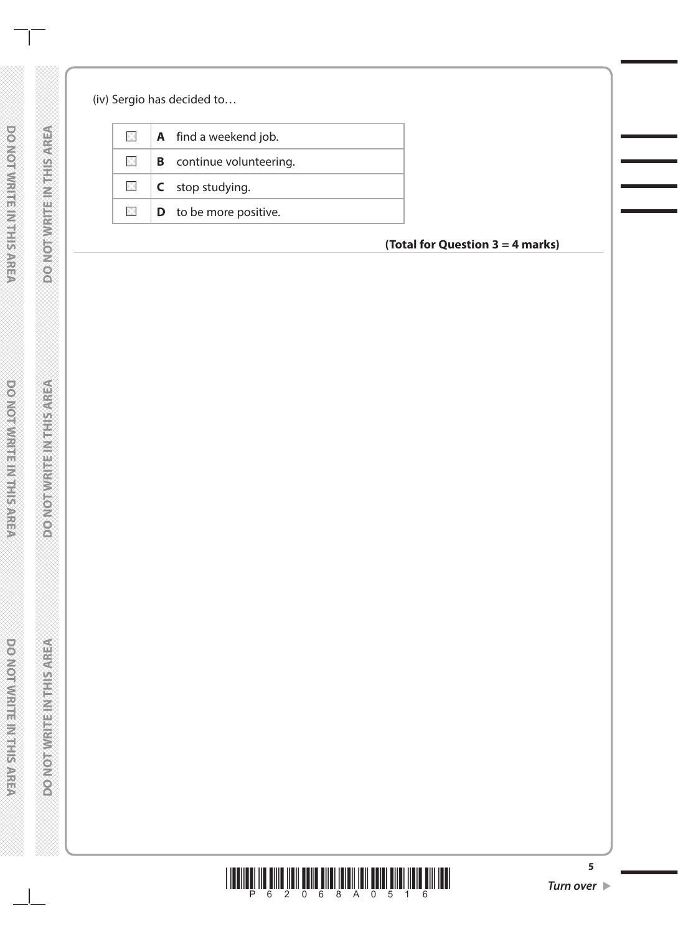(iv) Sergio has decided to…

| $\mathbb{X}$ | <b>A</b> find a weekend job.           |
|--------------|----------------------------------------|
| ÞЗ           | <b>B</b> continue volunteering.        |
|              | $\mathbb{Z}$   <b>C</b> stop studying. |
| $\mathbb{R}$ | <b>D</b> to be more positive.          |
|              |                                        |

**(Total for Question 3 = 4 marks)**



**5**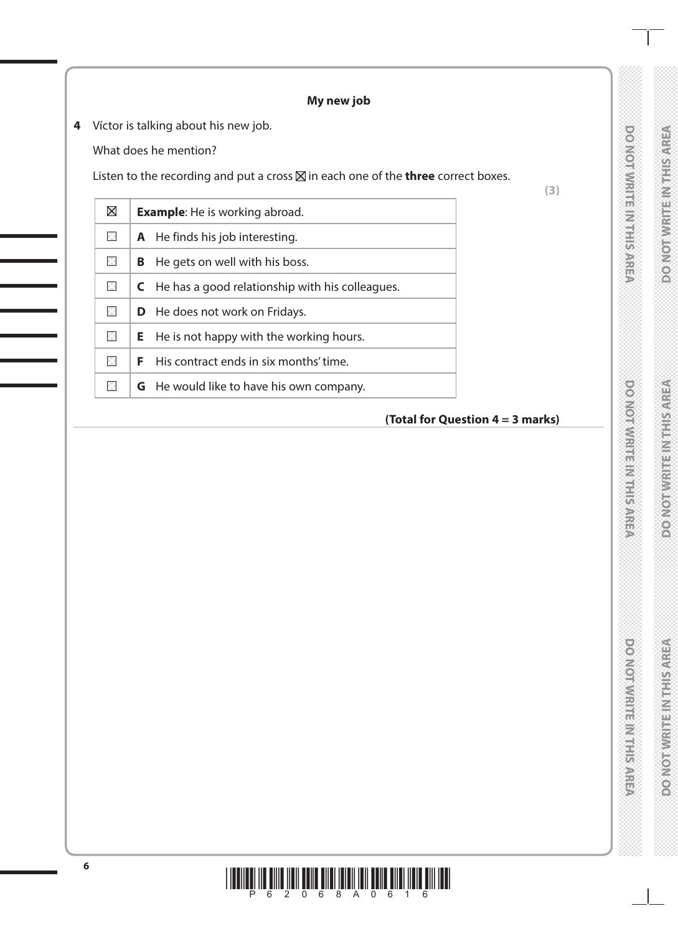#### **My new job**

**4** Víctor is talking about his new job.

What does he mention?

Listen to the recording and put a cross  $\boxtimes$  in each one of the **three** correct boxes.

| $\boxtimes$ |    | <b>Example:</b> He is working abroad.                    |
|-------------|----|----------------------------------------------------------|
| $\times$    |    | <b>A</b> He finds his job interesting.                   |
| $\bowtie$   | в  | He gets on well with his boss.                           |
| $\boxtimes$ |    | <b>C</b> He has a good relationship with his colleagues. |
| $\bowtie$   |    | <b>D</b> He does not work on Fridays.                    |
| $\boxtimes$ |    | $E$ He is not happy with the working hours.              |
| $\bowtie$   | F. | His contract ends in six months' time.                   |
|             |    | <b>G</b> He would like to have his own company.          |

## **(Total for Question 4 = 3 marks)**

**(3)**

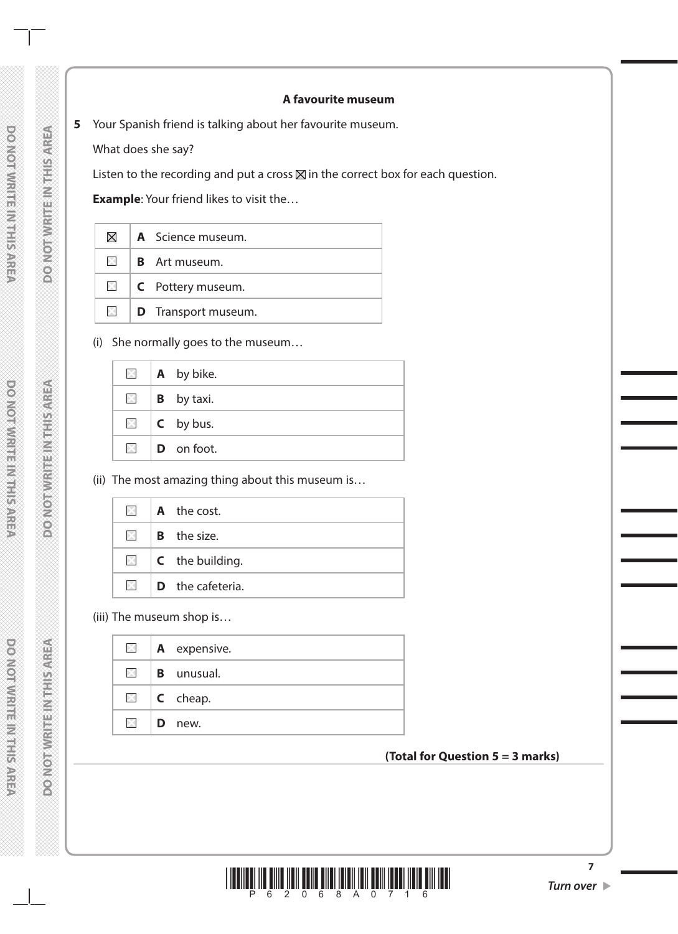#### **A favourite museum**

**5** Your Spanish friend is talking about her favourite museum.

What does she say?

Listen to the recording and put a cross  $\boxtimes$  in the correct box for each question.

**Example**: Your friend likes to visit the…

| $\boxtimes$ | A Science museum.          |
|-------------|----------------------------|
| $\times$    | <b>B</b> Art museum.       |
| $\times$    | <b>C</b> Pottery museum.   |
| <b>XI</b>   | <b>D</b> Transport museum. |

(i) She normally goes to the museum…

|  | $\Box$   <b>A</b> by bike. |
|--|----------------------------|
|  | $\Box$   <b>B</b> by taxi. |
|  | $\Box$   <b>C</b> by bus.  |
|  | $\Box$ <b>D</b> on foot.   |

(ii) The most amazing thing about this museum is…

| $\times$     | <b>A</b> the cost.         |
|--------------|----------------------------|
| $\mathbb{R}$ | <b>B</b> the size.         |
| $\boxtimes$  | $\mathsf{C}$ the building. |
| <b>XI</b>    | <b>D</b> the cafeteria.    |

(iii) The museum shop is…

|  | $\blacksquare$   A expensive. |
|--|-------------------------------|
|  | $\boxtimes$ B unusual.        |
|  | $\Box$   <b>C</b> cheap.      |
|  | $\Box$ <b>D</b> new.          |

## **(Total for Question 5 = 3 marks)**



**7**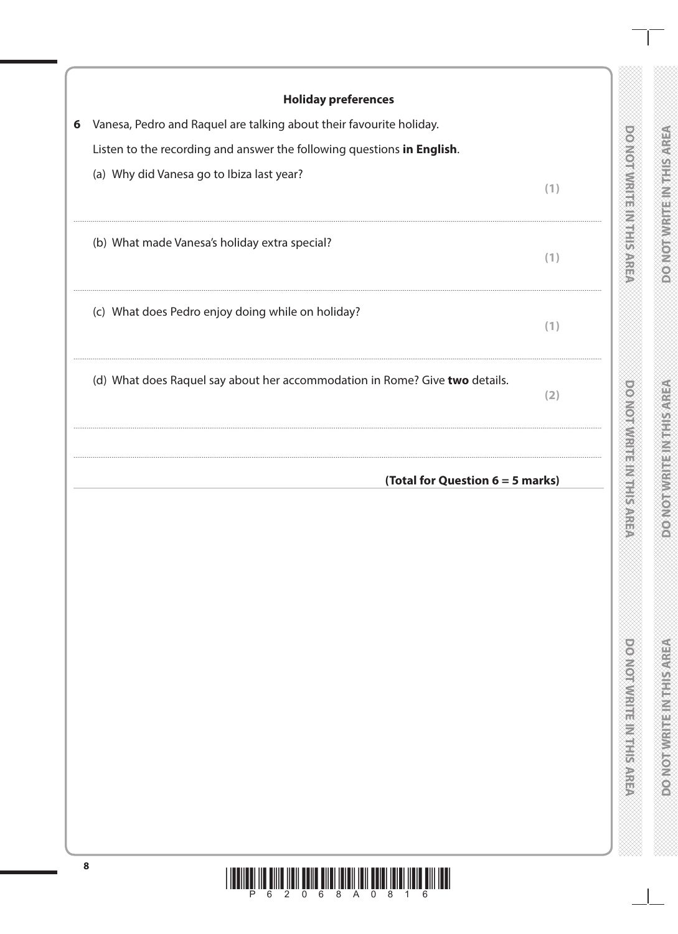| Vanesa, Pedro and Raquel are talking about their favourite holiday.         |     |
|-----------------------------------------------------------------------------|-----|
|                                                                             |     |
| Listen to the recording and answer the following questions in English.      |     |
| (a) Why did Vanesa go to Ibiza last year?                                   | (1) |
| (b) What made Vanesa's holiday extra special?                               | (1) |
| (c) What does Pedro enjoy doing while on holiday?                           | (1) |
| (d) What does Raquel say about her accommodation in Rome? Give two details. | (2) |
| (Total for Question 6 = 5 marks)                                            |     |
|                                                                             |     |

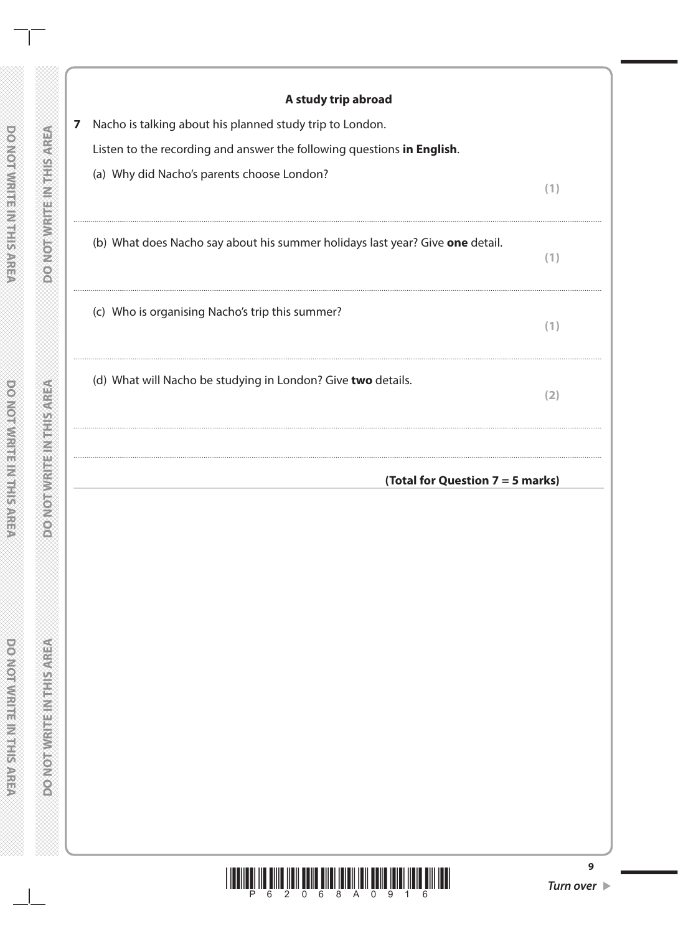| A study trip abroad                                                           |     |
|-------------------------------------------------------------------------------|-----|
| Nacho is talking about his planned study trip to London.                      |     |
| Listen to the recording and answer the following questions in English.        |     |
| (a) Why did Nacho's parents choose London?                                    | (1) |
| (b) What does Nacho say about his summer holidays last year? Give one detail. | (1) |
| (c) Who is organising Nacho's trip this summer?                               | (1) |
| (d) What will Nacho be studying in London? Give two details.                  | (2) |
| (Total for Question $7 = 5$ marks)                                            |     |

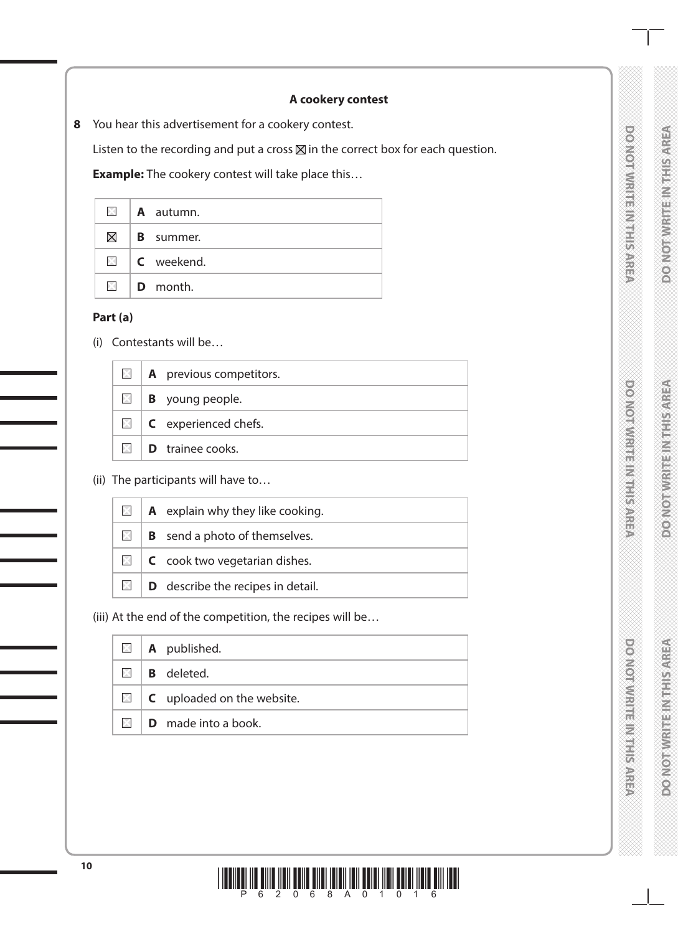**8** You hear this advertisement for a cookery contest.

Listen to the recording and put a cross  $\boxtimes$  in the correct box for each question.

**Example:** The cookery contest will take place this…

| $\times^-$  | A autumn.        |
|-------------|------------------|
| $\boxtimes$ | <b>B</b> summer. |
| $\boxtimes$ | C weekend.       |
| $\times$    | D month.         |

#### **Part (a)**

(i) Contestants will be…

| ES L | <b>A</b> previous competitors.             |
|------|--------------------------------------------|
|      | $\boxtimes$   <b>B</b> young people.       |
|      | $\mathbb{Z}$   <b>C</b> experienced chefs. |
|      | $\boxtimes$   <b>D</b> trainee cooks.      |

(ii) The participants will have to…

|  | $\Box$   <b>A</b> explain why they like cooking.    |
|--|-----------------------------------------------------|
|  | $\mathbb{Z}$   <b>B</b> send a photo of themselves. |
|  | $\Box$ <b>C</b> cook two vegetarian dishes.         |
|  | $\Box$ <b>D</b> describe the recipes in detail.     |

(iii) At the end of the competition, the recipes will be…

|  | $\Box$   <b>A</b> published.             |
|--|------------------------------------------|
|  | $\boxtimes$   <b>B</b> deleted.          |
|  | $\Box$ <b>C</b> uploaded on the website. |
|  | $\boxtimes$ <b>D</b> made into a book.   |



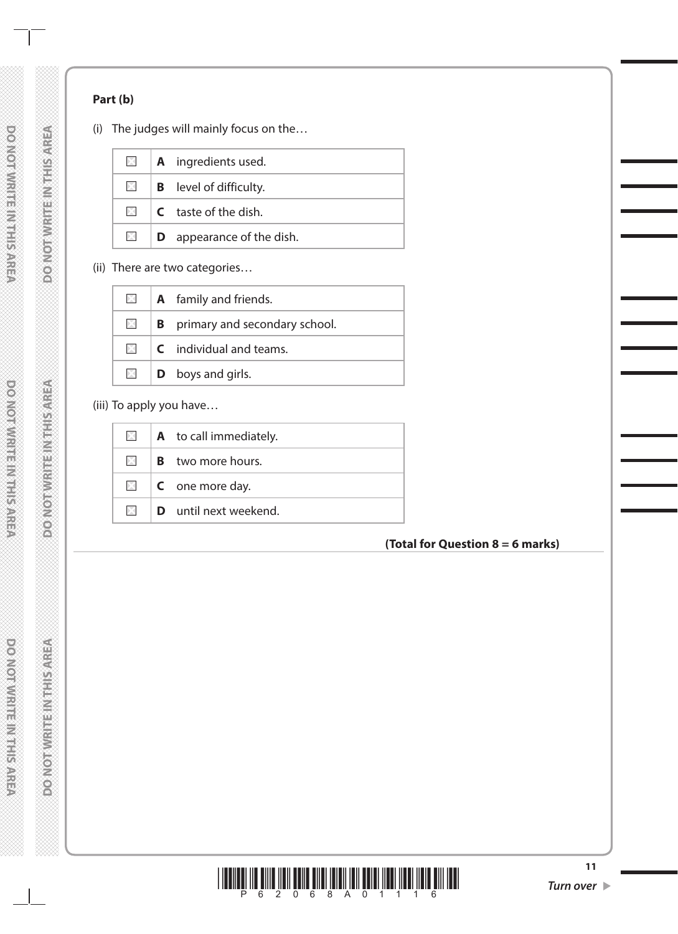## **Part (b)**

(i) The judges will mainly focus on the…

| $\boxtimes$  | A ingredients used.              |
|--------------|----------------------------------|
| $\mathbb{X}$ | <b>B</b> level of difficulty.    |
| $\mathbb{R}$ | $C$ taste of the dish.           |
| $\mathbb{X}$ | <b>D</b> appearance of the dish. |

(ii) There are two categories…

| $\mathbb{X}$ | A family and friends.                  |
|--------------|----------------------------------------|
| $\mathbb{X}$ | <b>B</b> primary and secondary school. |
| IX I         | <b>C</b> individual and teams.         |
| $\mathsf{X}$ | <b>D</b> boys and girls.               |
|              |                                        |

(iii) To apply you have…

| X.           | <b>A</b> to call immediately. |
|--------------|-------------------------------|
| IХ           | <b>B</b> two more hours.      |
| $\times$     | <b>C</b> one more day.        |
| $\mathbb{N}$ | <b>D</b> until next weekend.  |

**(Total for Question 8 = 6 marks)**

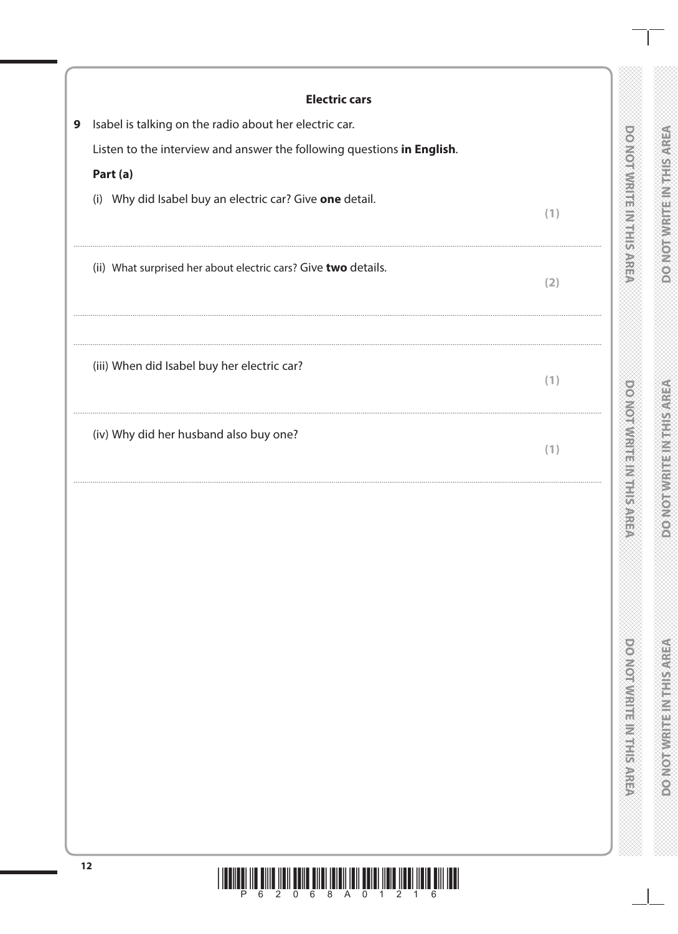|                                                                        | <b>Electric cars</b> |                                             |
|------------------------------------------------------------------------|----------------------|---------------------------------------------|
| Isabel is talking on the radio about her electric car.<br>9            |                      |                                             |
| Listen to the interview and answer the following questions in English. |                      |                                             |
| Part (a)                                                               |                      |                                             |
| (i) Why did Isabel buy an electric car? Give one detail.               |                      | <b>DONOTWRITER WEBSTERNESS</b><br>(1)       |
| (ii) What surprised her about electric cars? Give two details.         |                      | (2)                                         |
| (iii) When did Isabel buy her electric car?                            |                      | (1)                                         |
| (iv) Why did her husband also buy one?                                 |                      | <b>BOOK ON A STREET AND A STREET</b><br>(1) |
|                                                                        |                      | <b>DO NOTMENTE IN THE SARD</b>              |

 $\begin{array}{c} \end{array} \begin{array}{c} \begin{array}{c} \begin{array}{c} \begin{array}{c} \end{array} \\ \begin{array}{c} \end{array} \\ \begin{array}{c} \end{array} \\ \begin{array}{c} \end{array} \\ \begin{array}{c} \end{array} \\ \begin{array}{c} \end{array} \\ \begin{array}{c} \end{array} \\ \begin{array}{c} \end{array} \\ \begin{array}{c} \end{array} \\ \begin{array}{c} \end{array} \\ \begin{array}{c} \end{array} \\ \begin{array}{c} \end{array} \\ \begin{array}{c} \end{array} \\ \begin{array}{c} \end{array} \\ \begin{array}{$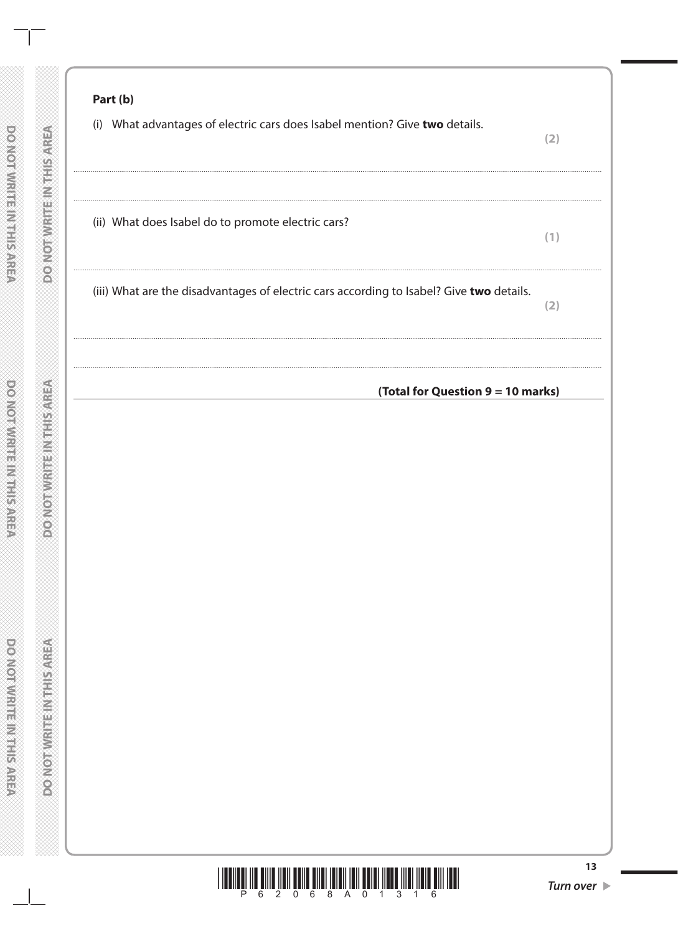| Part (b)                                                                                 |  |
|------------------------------------------------------------------------------------------|--|
| (i) What advantages of electric cars does Isabel mention? Give two details.              |  |
| (ii) What does Isabel do to promote electric cars?                                       |  |
| (iii) What are the disadvantages of electric cars according to Isabel? Give two details. |  |
|                                                                                          |  |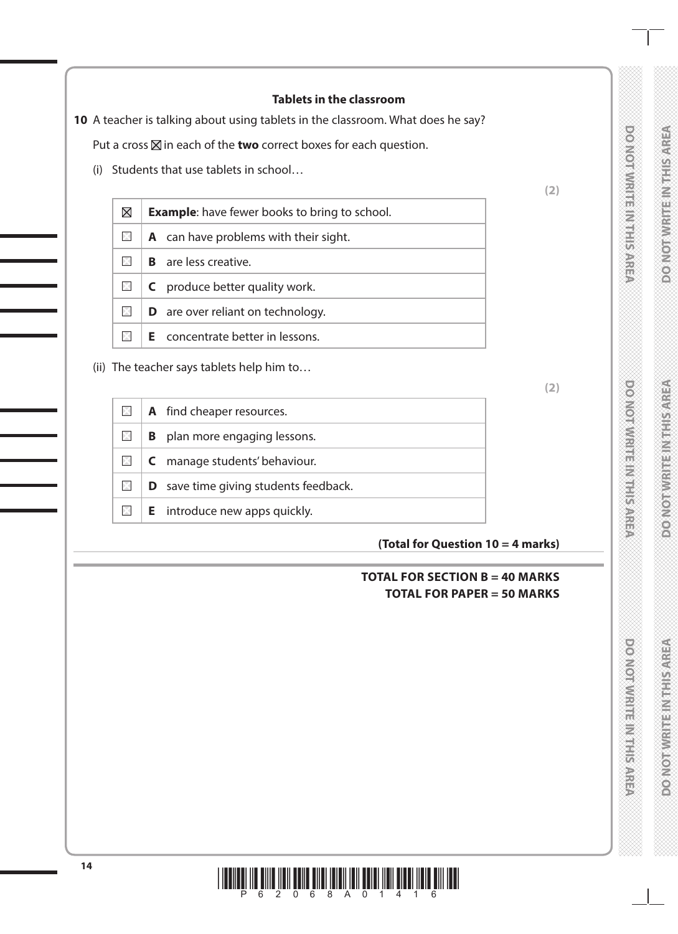#### **Tablets in the classroom**

**10** A teacher is talking about using tablets in the classroom. What does he say?

Put a cross  $\boxtimes$  in each of the **two** correct boxes for each question.

(i) Students that use tablets in school…

| $\boxtimes$    | <b>Example:</b> have fewer books to bring to school. |
|----------------|------------------------------------------------------|
| $>\frac{1}{2}$ | <b>A</b> can have problems with their sight.         |
| X              | are less creative.<br>B.                             |
| $>\frac{1}{2}$ | <b>C</b> produce better quality work.                |
| ÞЗ             | <b>D</b> are over reliant on technology.             |
| X              | concentrate better in lessons.<br>F.                 |

(ii) The teacher says tablets help him to…

| $\mathbb{X}$   | <b>A</b> find cheaper resources.             |
|----------------|----------------------------------------------|
| $\times$       | plan more engaging lessons.<br>B             |
| ÞЗ             | <b>C</b> manage students' behaviour.         |
| $>\frac{1}{2}$ | <b>D</b> save time giving students feedback. |
| X              | <b>E</b> introduce new apps quickly.         |

## **(Total for Question 10 = 4 marks)**

## **TOTAL FOR SECTION B = 40 MARKS TOTAL FOR PAPER = 50 MARKS**





**DO NOT WRITE IN THIS AREA** 

**DONOTWRITEIN HEART** 

**(2)**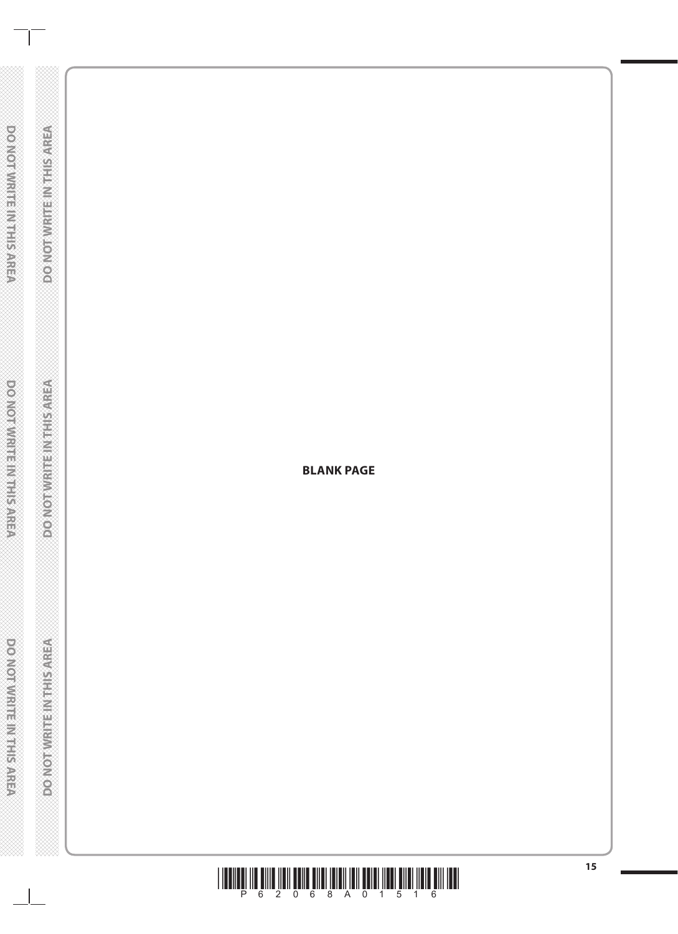**DONOTWRITEINTHSAREA** 

**BLANK PAGE**